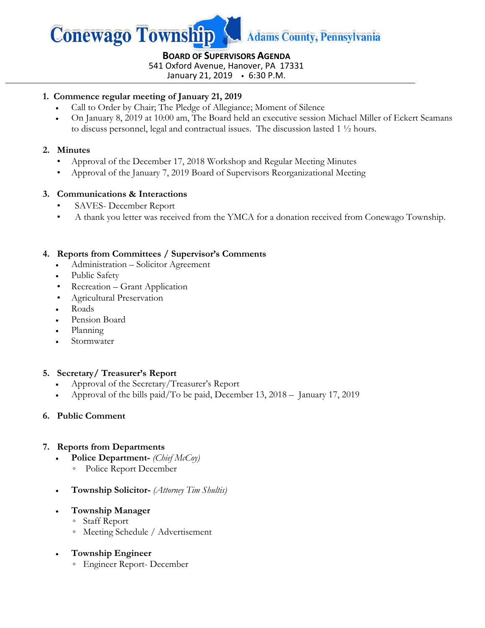

**BOARD OF SUPERVISORS AGENDA** 541 Oxford Avenue, Hanover, PA 17331

January 21, 2019 6:30 P.M.

#### **1. Commence regular meeting of January 21, 2019**

- Call to Order by Chair; The Pledge of Allegiance; Moment of Silence
- On January 8, 2019 at 10:00 am, The Board held an executive session Michael Miller of Eckert Seamans to discuss personnel, legal and contractual issues. The discussion lasted 1 ½ hours.

#### **2. Minutes**

- Approval of the December 17, 2018 Workshop and Regular Meeting Minutes
- Approval of the January 7, 2019 Board of Supervisors Reorganizational Meeting

### **3. Communications & Interactions**

- SAVES- December Report
- A thank you letter was received from the YMCA for a donation received from Conewago Township.

#### **4. Reports from Committees / Supervisor's Comments**

- Administration Solicitor Agreement
- Public Safety
- Recreation Grant Application
- Agricultural Preservation
- Roads
- Pension Board
- Planning
- Stormwater

### **5. Secretary/ Treasurer's Report**

- Approval of the Secretary/Treasurer's Report
- Approval of the bills paid/To be paid, December 13,  $2018 -$  January 17, 2019

#### **6. Public Comment**

### **7. Reports from Departments**

- **Police Department-** *(Chief McCoy)*
	- Police Report December
- **Township Solicitor-** *(Attorney Tim Shultis)*
- **Township Manager**
	- Staff Report
	- Meeting Schedule / Advertisement
- **Township Engineer**
	- Engineer Report- December